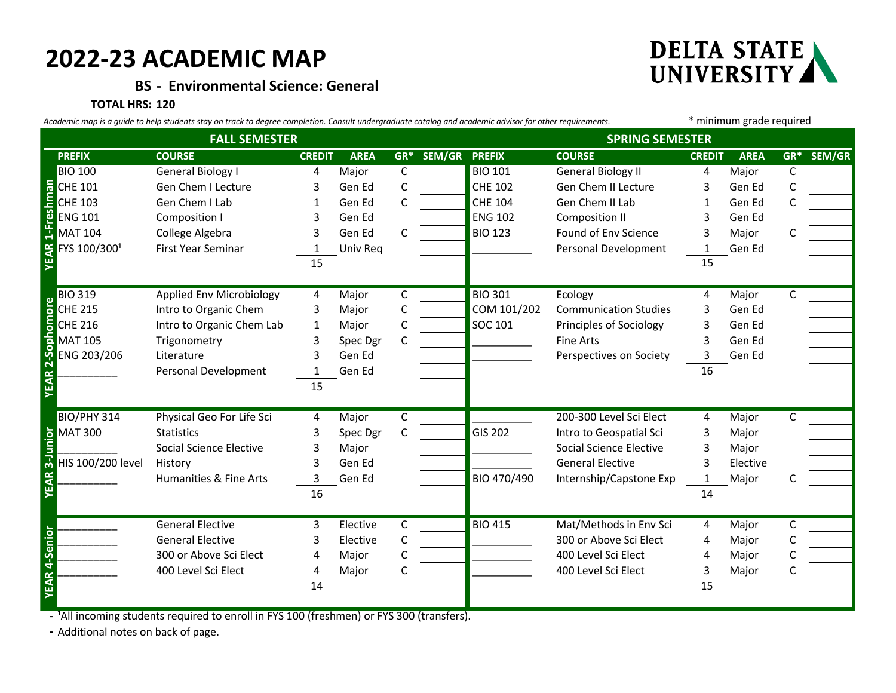# **2022-23 ACADEMIC MAP**

**BS - Environmental Science: General**

### **TOTAL HRS: 120**



**DELTA STATE** 

|                                                                                                                                                                                                                                                                                        | Gen Chem I Lecture                                                                        | 3  | Gen Ed   | C | <b>CHE 102</b> | Gen Chem II Lecture          | 3  | Gen Ed   |   |  |
|----------------------------------------------------------------------------------------------------------------------------------------------------------------------------------------------------------------------------------------------------------------------------------------|-------------------------------------------------------------------------------------------|----|----------|---|----------------|------------------------------|----|----------|---|--|
| E CHE 101                                                                                                                                                                                                                                                                              | Gen Chem I Lab                                                                            | 1  | Gen Ed   |   | <b>CHE 104</b> | Gen Chem II Lab              |    | Gen Ed   |   |  |
|                                                                                                                                                                                                                                                                                        | Composition I                                                                             | 3  | Gen Ed   |   | <b>ENG 102</b> | <b>Composition II</b>        | 3  | Gen Ed   |   |  |
| <b>MAT 104</b>                                                                                                                                                                                                                                                                         | College Algebra                                                                           | 3  | Gen Ed   | C | <b>BIO 123</b> | Found of Env Science         | 3  | Major    |   |  |
| FYS 100/3001                                                                                                                                                                                                                                                                           | First Year Seminar                                                                        | 1  | Univ Req |   |                | Personal Development         | 1  | Gen Ed   |   |  |
| <b>YEAR</b>                                                                                                                                                                                                                                                                            |                                                                                           | 15 |          |   |                |                              | 15 |          |   |  |
| <b>BIO 319</b>                                                                                                                                                                                                                                                                         | Applied Env Microbiology                                                                  | 4  | Major    | C | <b>BIO 301</b> | Ecology                      | 4  | Major    | C |  |
|                                                                                                                                                                                                                                                                                        | Intro to Organic Chem                                                                     | 3  | Major    | C | COM 101/202    | <b>Communication Studies</b> | 3  | Gen Ed   |   |  |
|                                                                                                                                                                                                                                                                                        | Intro to Organic Chem Lab                                                                 | 1  | Major    | С | SOC 101        | Principles of Sociology      |    | Gen Ed   |   |  |
|                                                                                                                                                                                                                                                                                        | Trigonometry                                                                              | 3  | Spec Dgr | C |                | <b>Fine Arts</b>             | 3  | Gen Ed   |   |  |
| ENG 203/206                                                                                                                                                                                                                                                                            | Literature                                                                                |    | Gen Ed   |   |                | Perspectives on Society      | 3  | Gen Ed   |   |  |
|                                                                                                                                                                                                                                                                                        | Personal Development                                                                      |    | Gen Ed   |   |                |                              | 16 |          |   |  |
| BIO 319<br>CHE 215<br>CHE 216<br>MAT 105<br>ENG 203,<br>ENG 203,                                                                                                                                                                                                                       |                                                                                           | 15 |          |   |                |                              |    |          |   |  |
| BIO/PHY 314                                                                                                                                                                                                                                                                            | Physical Geo For Life Sci                                                                 | 4  | Major    | C |                | 200-300 Level Sci Elect      | 4  | Major    | C |  |
|                                                                                                                                                                                                                                                                                        | <b>Statistics</b>                                                                         |    | Spec Dgr | C | <b>GIS 202</b> | Intro to Geospatial Sci      | 3  | Major    |   |  |
|                                                                                                                                                                                                                                                                                        | Social Science Elective                                                                   | 3  | Major    |   |                | Social Science Elective      | 3  | Major    |   |  |
| <b>HIS 100/200 level</b>                                                                                                                                                                                                                                                               | History                                                                                   |    | Gen Ed   |   |                | <b>General Elective</b>      |    | Elective |   |  |
|                                                                                                                                                                                                                                                                                        | Humanities & Fine Arts                                                                    | 3  | Gen Ed   |   | BIO 470/490    | Internship/Capstone Exp      |    | Major    |   |  |
| <b>S</b><br>MAT 300<br>HIS 100/2<br>MAT 300<br>MAT 300<br>MAT 300<br>MAT 300<br>MAT 300<br>MAT 300<br>MAT 300<br>MAT 300<br>MAT 300<br>MAT 300<br>MAT 200<br>MAT 200<br>MAT 200<br>MAT 200<br>MAT 200<br>MAT 200<br>MAT 200<br>MAT 200<br>MAT 200<br>MAT 200<br>MAT 200<br>MAT 200<br> |                                                                                           | 16 |          |   |                |                              | 14 |          |   |  |
|                                                                                                                                                                                                                                                                                        | <b>General Elective</b>                                                                   | 3  | Elective | C | <b>BIO 415</b> | Mat/Methods in Env Sci       | 4  | Major    | C |  |
|                                                                                                                                                                                                                                                                                        | <b>General Elective</b>                                                                   | 3  | Elective | C |                | 300 or Above Sci Elect       | 4  | Major    |   |  |
|                                                                                                                                                                                                                                                                                        | 300 or Above Sci Elect                                                                    | 4  | Major    |   |                | 400 Level Sci Elect          | 4  | Major    |   |  |
|                                                                                                                                                                                                                                                                                        | 400 Level Sci Elect                                                                       | 4  | Major    | C |                | 400 Level Sci Elect          | 3  | Major    |   |  |
| YEAR 4-Senior                                                                                                                                                                                                                                                                          |                                                                                           | 14 |          |   |                |                              | 15 |          |   |  |
|                                                                                                                                                                                                                                                                                        |                                                                                           |    |          |   |                |                              |    |          |   |  |
|                                                                                                                                                                                                                                                                                        |                                                                                           |    |          |   |                |                              |    |          |   |  |
|                                                                                                                                                                                                                                                                                        | - 'All incoming students required to enroll in FYS 100 (freshmen) or FYS 300 (transfers). |    |          |   |                |                              |    |          |   |  |